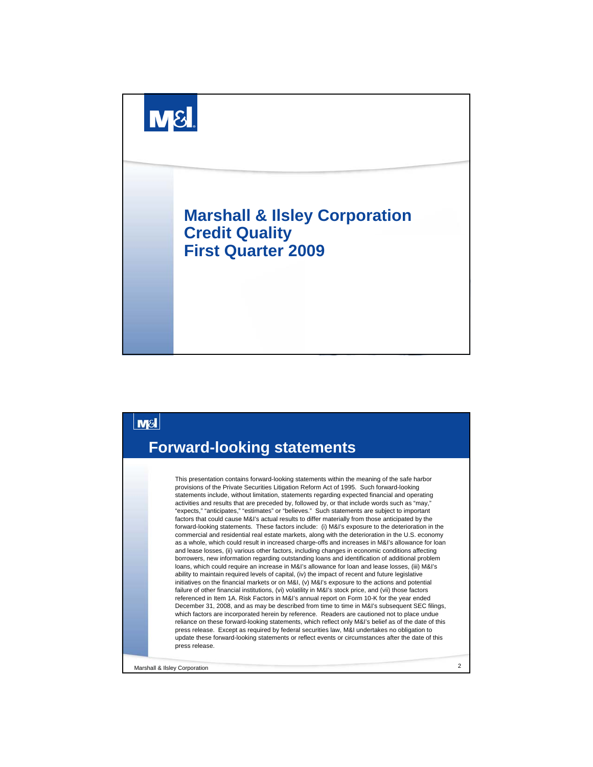



Marshall & Ilsley Corporation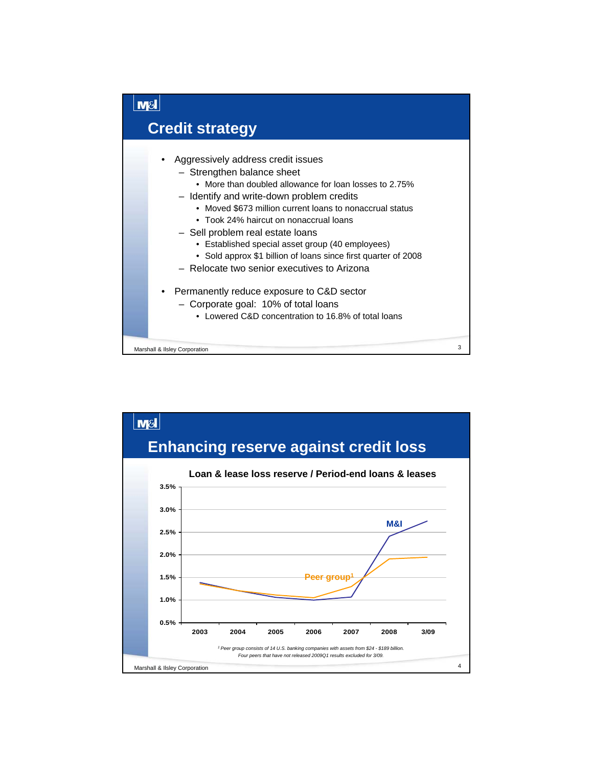

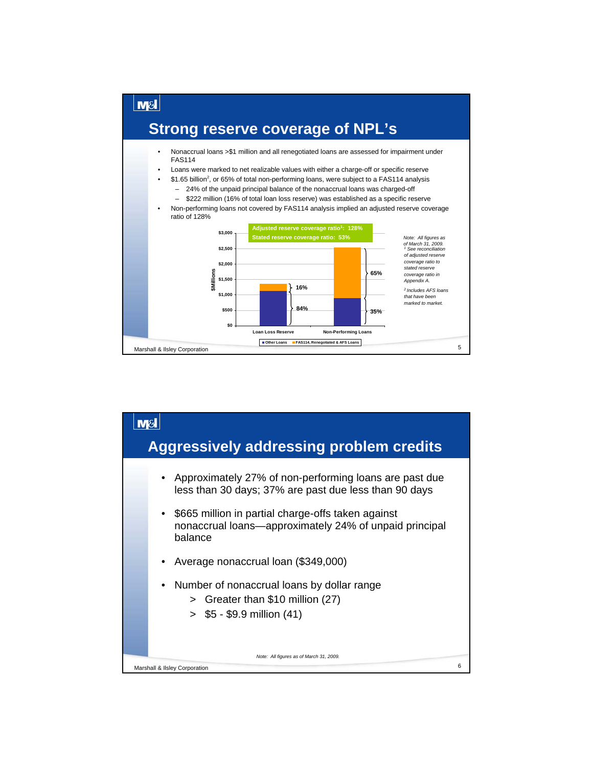

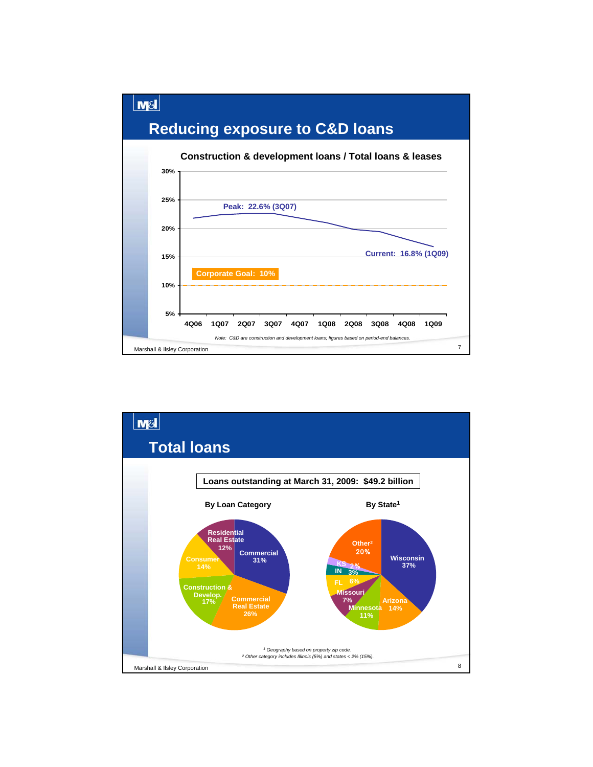# **Reducing exposure to C&D loans**

**M&I** 



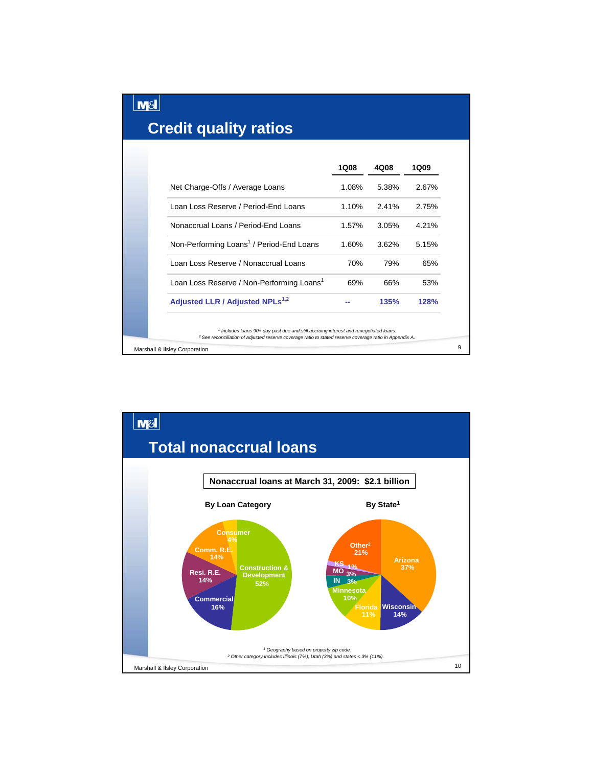| <b>Credit quality ratios</b>                                                                                                                                                                                           |       |       |       |
|------------------------------------------------------------------------------------------------------------------------------------------------------------------------------------------------------------------------|-------|-------|-------|
|                                                                                                                                                                                                                        | 1Q08  | 4Q08  | 1Q09  |
| Net Charge-Offs / Average Loans                                                                                                                                                                                        | 1.08% | 5.38% | 2.67% |
| Loan Loss Reserve / Period-End Loans                                                                                                                                                                                   | 1.10% | 2.41% | 2.75% |
| Nonaccrual Loans / Period-End Loans                                                                                                                                                                                    | 1.57% | 3.05% | 4.21% |
| Non-Performing Loans <sup>1</sup> / Period-End Loans                                                                                                                                                                   | 1.60% | 3.62% | 5.15% |
| Loan Loss Reserve / Nonaccrual Loans                                                                                                                                                                                   | 70%   | 79%   | 65%   |
| Loan Loss Reserve / Non-Performing Loans <sup>1</sup>                                                                                                                                                                  | 69%   | 66%   | 53%   |
| Adjusted LLR / Adjusted NPLs <sup>1,2</sup>                                                                                                                                                                            |       | 135%  | 128%  |
| <sup>1</sup> Includes loans 90+ day past due and still accruing interest and renegotiated loans.<br><sup>2</sup> See reconciliation of adjusted reserve coverage ratio to stated reserve coverage ratio in Appendix A. |       |       |       |
| Marshall & Ilsley Corporation                                                                                                                                                                                          |       |       |       |

**M&I** 

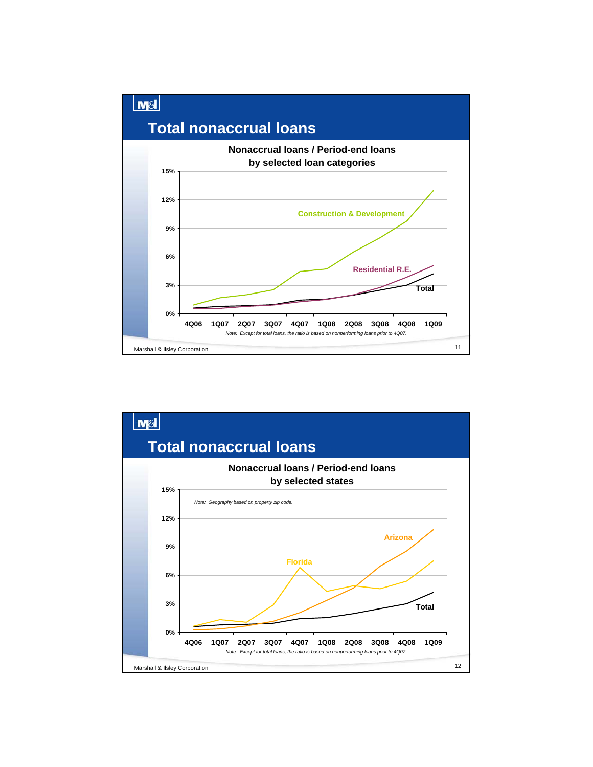

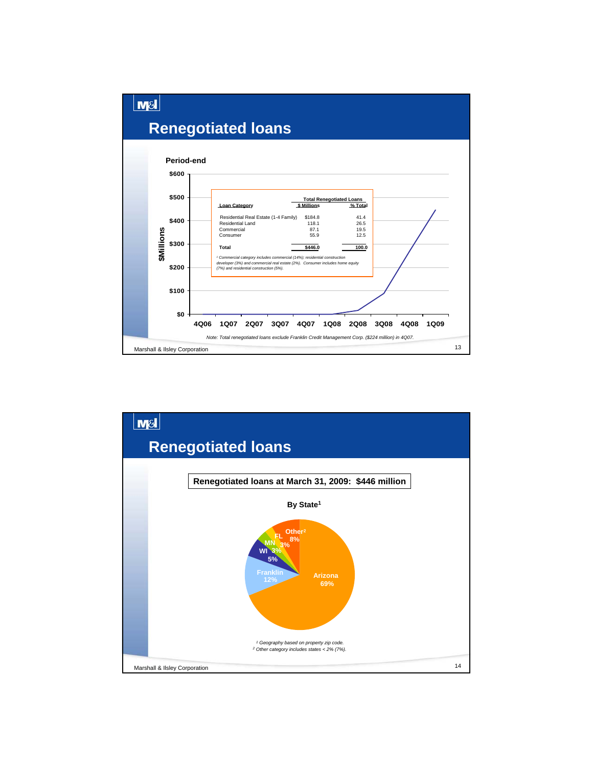

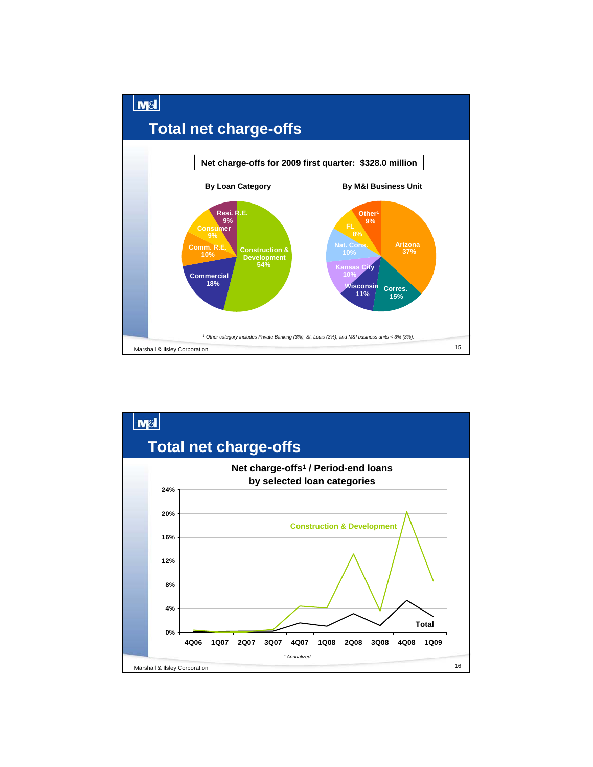

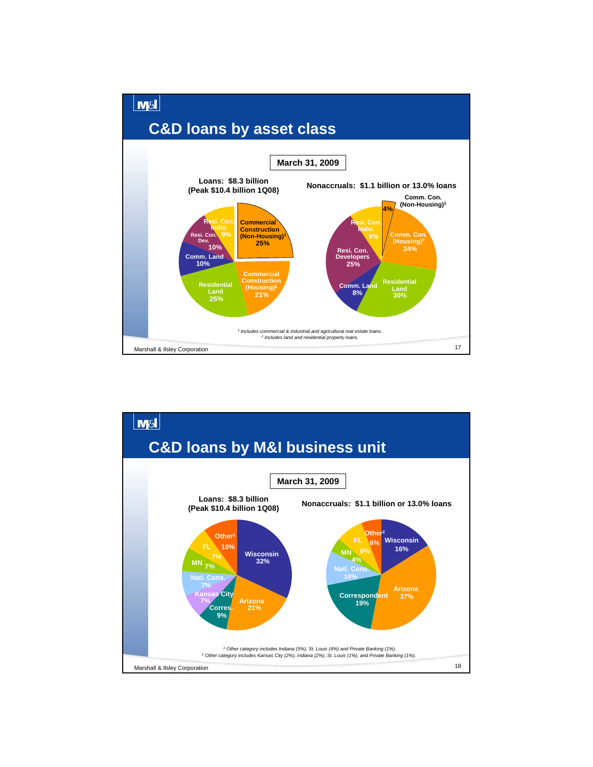

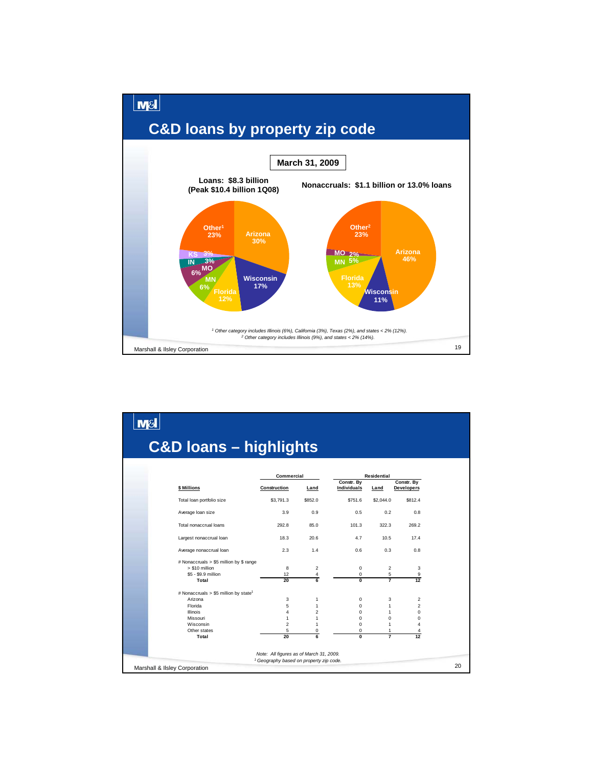

|                                                    |                | <b>C&amp;D loans - highlights</b> |                                  |                |                                 |
|----------------------------------------------------|----------------|-----------------------------------|----------------------------------|----------------|---------------------------------|
|                                                    |                | Commercial                        |                                  | Residential    |                                 |
| \$ Millions                                        | Construction   | Land                              | Constr. By<br><b>Individuals</b> | Land           | Constr. By<br><b>Developers</b> |
| Total loan portfolio size                          | \$3,791.3      | \$852.0                           | \$751.6                          | \$2,044.0      | \$812.4                         |
| Average loan size                                  | 3.9            | 0.9                               | 0.5                              | 0.2            | 0.8                             |
| Total nonaccrual loans                             | 292.8          | 85.0                              | 101.3                            | 322.3          | 269.2                           |
| Largest nonaccrual loan                            | 18.3           | 20.6                              | 4.7                              | 10.5           | 17.4                            |
| Average nonaccrual loan                            | 2.3            | 1.4                               | 0.6                              | 0.3            | 0.8                             |
| # Nonaccruals > \$5 million by \$ range            |                |                                   |                                  |                |                                 |
| > \$10 million                                     | 8              | $\overline{2}$                    | 0                                | $\overline{2}$ | 3                               |
| \$5 - \$9.9 million                                | 12             | 4                                 | 0                                | 5              | 9                               |
| Total                                              | 20             | 6                                 | $\overline{0}$                   | $\overline{7}$ | 12                              |
| # Nonaccruals $> $5$ million by state <sup>1</sup> |                |                                   |                                  |                |                                 |
| Arizona                                            | 3              | 1                                 | $\mathbf 0$                      | 3              | $\overline{2}$                  |
| Florida                                            | 5              | 1                                 | $\mathbf 0$                      | $\mathbf{1}$   | $\overline{\mathbf{c}}$         |
| Illinois                                           | 4              | $\overline{c}$                    | 0                                | 1              | $\mathbf 0$                     |
| Missouri                                           | 1              | 1                                 | $\Omega$                         | $\Omega$       | $\mathbf 0$                     |
| Wisconsin                                          | $\overline{2}$ | 1                                 | $\Omega$                         | 1              | 4                               |
| Other states                                       | 5              | $\bf{0}$                          | 0                                | 1              | 4                               |
| Total                                              | 20             | 6                                 | 0                                | $\overline{7}$ | 12                              |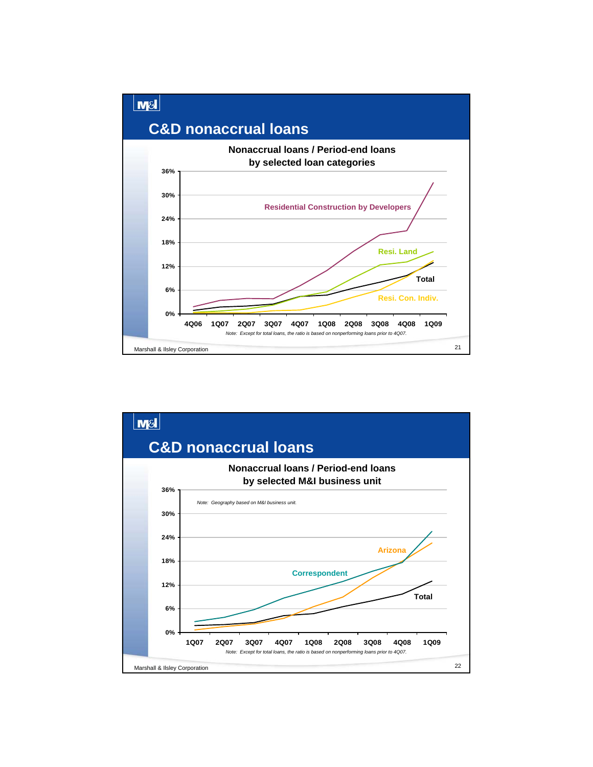

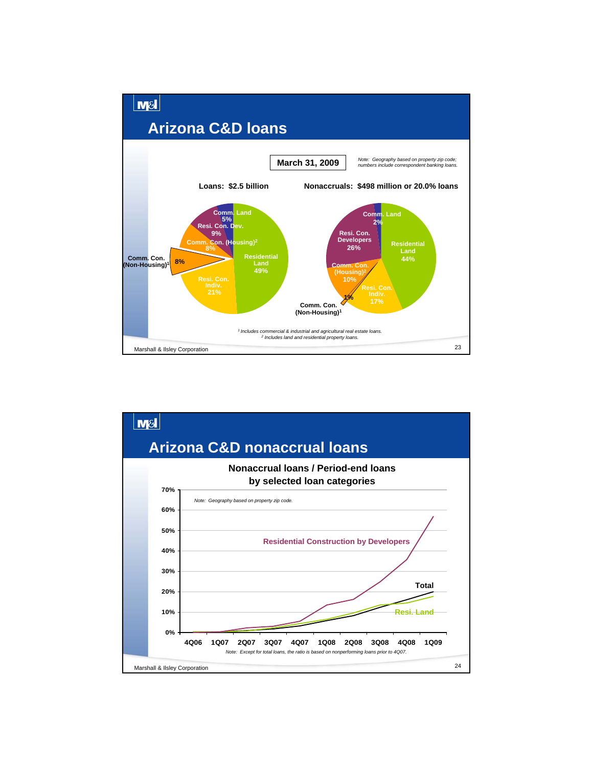

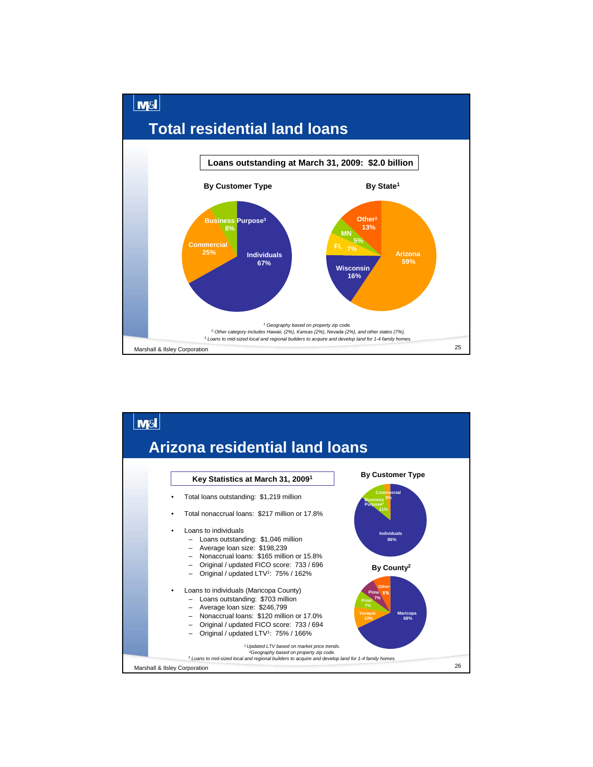

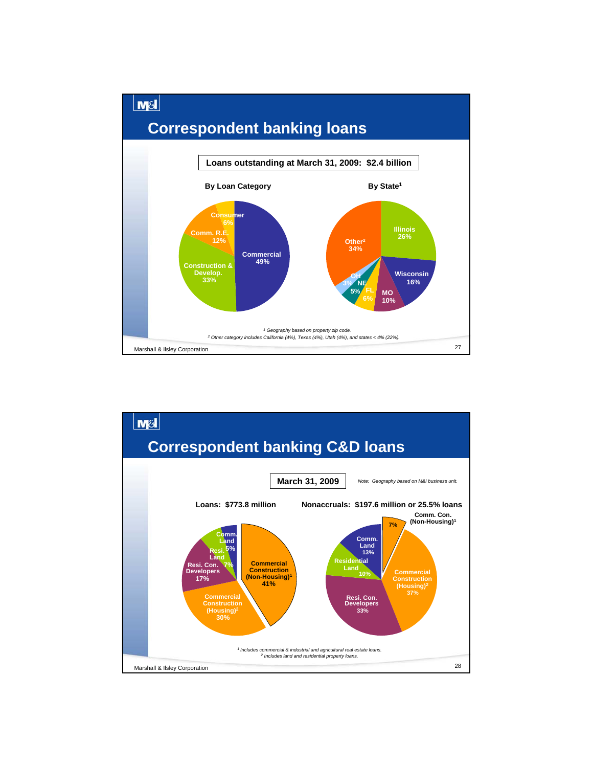

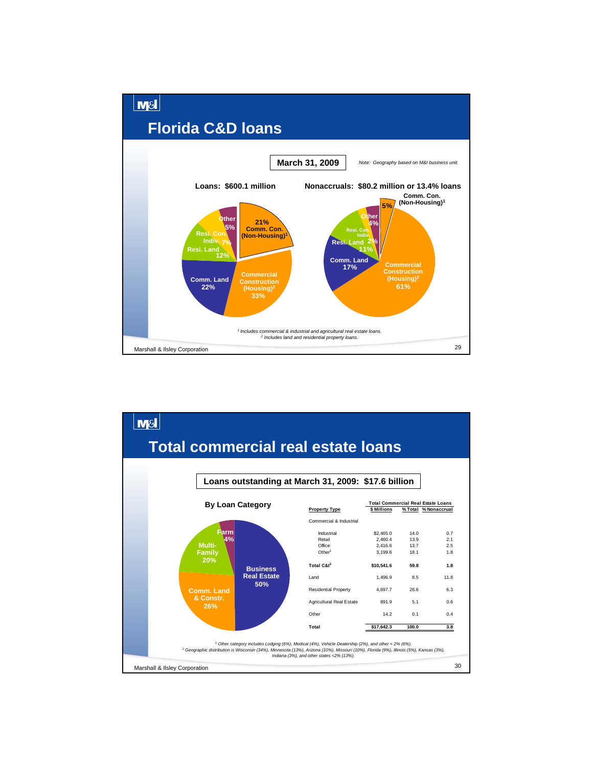

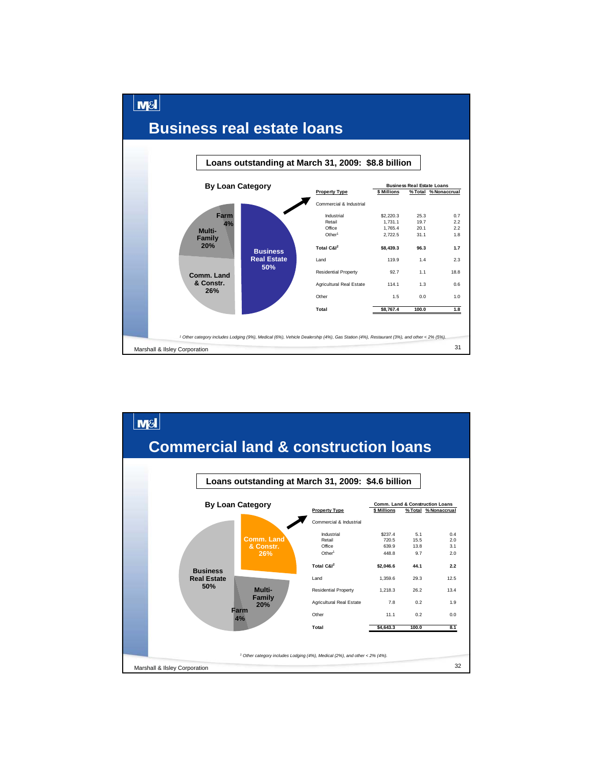

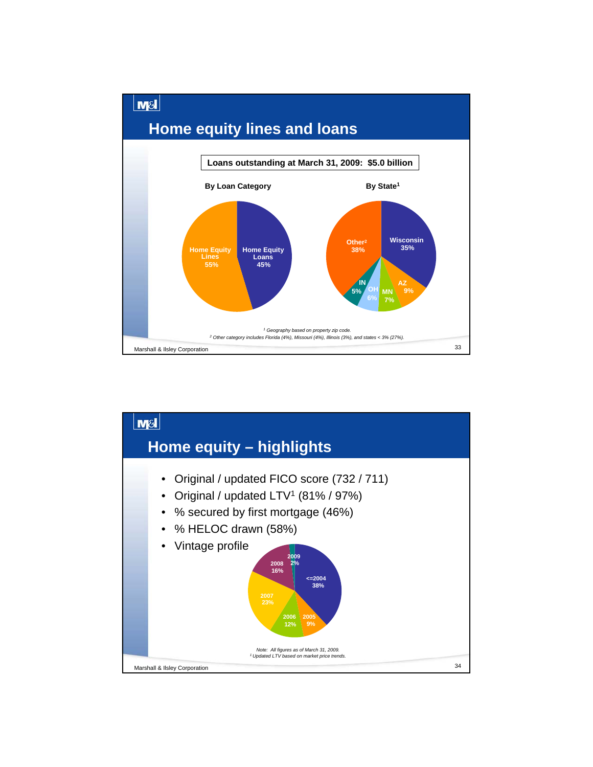

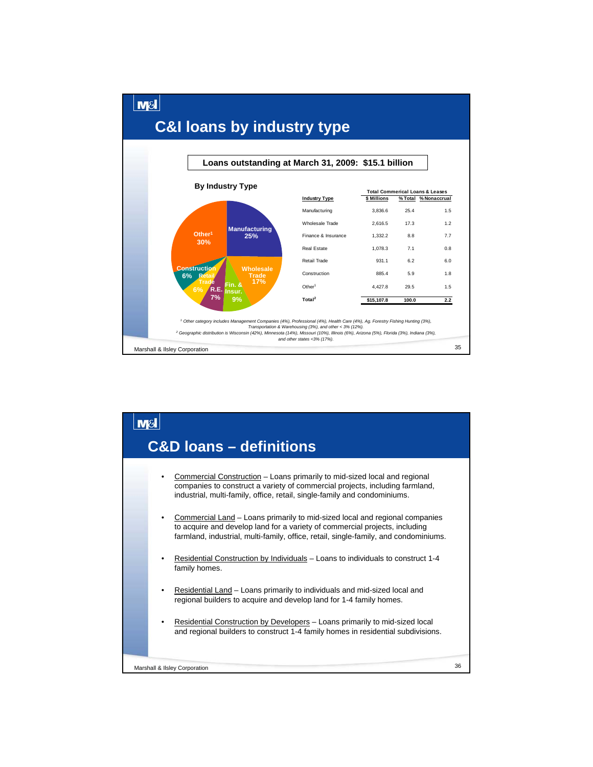

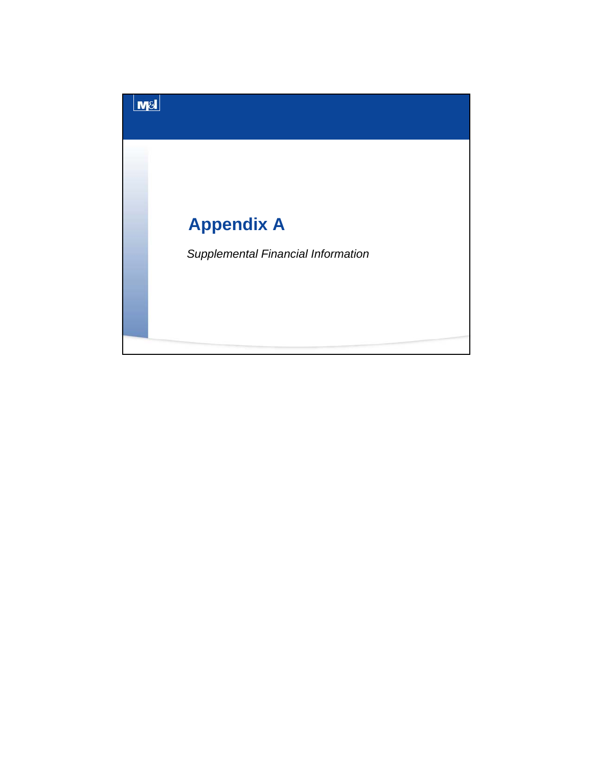